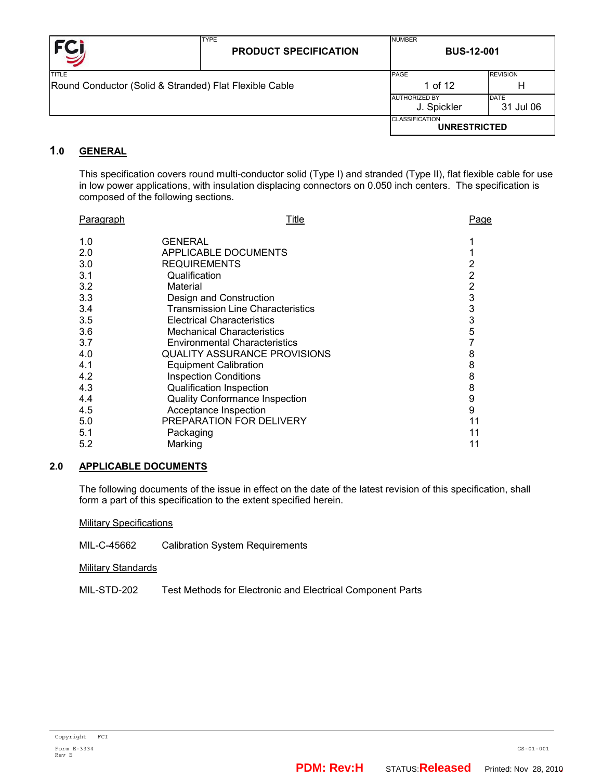| <b>FCI</b>                                             | <b>TYPE</b><br><b>PRODUCT SPECIFICATION</b> | <b>NUMBER</b><br><b>BUS-12-001</b>           |                 |  |
|--------------------------------------------------------|---------------------------------------------|----------------------------------------------|-----------------|--|
| TITLE                                                  |                                             | PAGE                                         | <b>REVISION</b> |  |
| Round Conductor (Solid & Stranded) Flat Flexible Cable |                                             | 1 of 12                                      | H               |  |
|                                                        |                                             | <b>JAUTHORIZED BY</b>                        | <b>DATE</b>     |  |
|                                                        |                                             | J. Spickler                                  | 31 Jul 06       |  |
|                                                        |                                             | <b>CLASSIFICATION</b><br><b>UNRESTRICTED</b> |                 |  |

# **1.0 GENERAL**

This specification covers round multi-conductor solid (Type I) and stranded (Type II), flat flexible cable for use in low power applications, with insulation displacing connectors on 0.050 inch centers. The specification is composed of the following sections.

| <b>Paragraph</b> | Title                                    | Page           |
|------------------|------------------------------------------|----------------|
| 1.0              | GENERAL                                  |                |
| 2.0              | APPLICABLE DOCUMENTS                     |                |
| 3.0              | <b>REQUIREMENTS</b>                      | 2              |
| 3.1              | Qualification                            | 2              |
| 3.2              | Material                                 | $\overline{2}$ |
| 3.3              | Design and Construction                  | 3              |
| 3.4              | <b>Transmission Line Characteristics</b> | 3              |
| 3.5              | <b>Electrical Characteristics</b>        | 3              |
| 3.6              | <b>Mechanical Characteristics</b>        | 5              |
| 3.7              | <b>Environmental Characteristics</b>     | 7              |
| 4.0              | <b>QUALITY ASSURANCE PROVISIONS</b>      | 8              |
| 4.1              | <b>Equipment Calibration</b>             | 8              |
| 4.2              | <b>Inspection Conditions</b>             | 8              |
| 4.3              | <b>Qualification Inspection</b>          | 8              |
| 4.4              | <b>Quality Conformance Inspection</b>    | 9              |
| 4.5              | Acceptance Inspection                    | 9              |
| 5.0              | PREPARATION FOR DELIVERY                 |                |
| 5.1              | Packaging                                |                |
| 5.2              | Marking                                  |                |
|                  |                                          |                |

## **2.0 APPLICABLE DOCUMENTS**

The following documents of the issue in effect on the date of the latest revision of this specification, shall form a part of this specification to the extent specified herein.

Military Specifications

MIL-C-45662 Calibration System Requirements

**Military Standards** 

MIL-STD-202 Test Methods for Electronic and Electrical Component Parts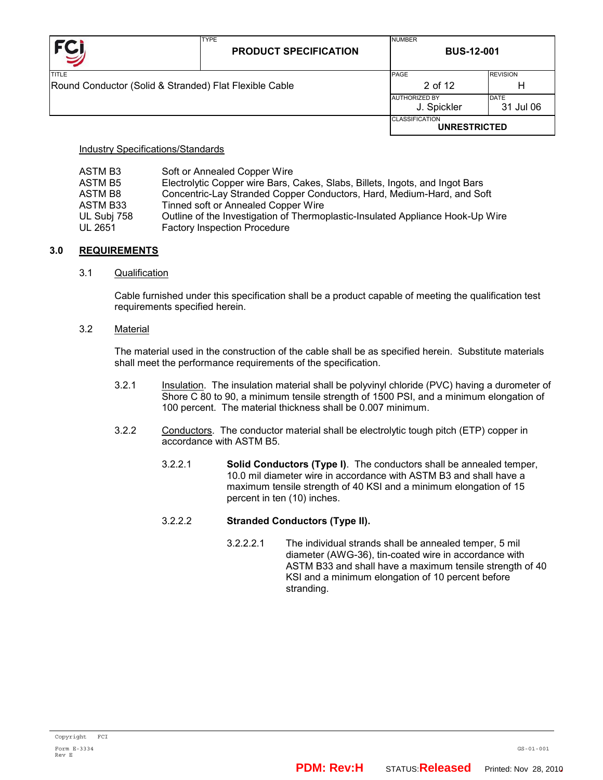|                                                        | <b>TYPE</b><br><b>PRODUCT SPECIFICATION</b> | <b>NUMBER</b><br><b>BUS-12-001</b>           |                          |  |
|--------------------------------------------------------|---------------------------------------------|----------------------------------------------|--------------------------|--|
| <b>TITLE</b>                                           |                                             | PAGE                                         | <b>REVISION</b>          |  |
| Round Conductor (Solid & Stranded) Flat Flexible Cable |                                             | 2 of 12                                      | Н                        |  |
|                                                        |                                             | <b>AUTHORIZED BY</b><br>J. Spickler          | <b>DATE</b><br>31 Jul 06 |  |
|                                                        |                                             | <b>CLASSIFICATION</b><br><b>UNRESTRICTED</b> |                          |  |

Industry Specifications/Standards

| ASTM B3     | Soft or Annealed Copper Wire                                                   |
|-------------|--------------------------------------------------------------------------------|
| ASTM B5     | Electrolytic Copper wire Bars, Cakes, Slabs, Billets, Ingots, and Ingot Bars   |
| ASTM B8     | Concentric-Lay Stranded Copper Conductors, Hard, Medium-Hard, and Soft         |
| ASTM B33    | Tinned soft or Annealed Copper Wire                                            |
| UL Subj 758 | Outline of the Investigation of Thermoplastic-Insulated Appliance Hook-Up Wire |
| UL 2651     | <b>Factory Inspection Procedure</b>                                            |

## **3.0 REQUIREMENTS**

#### 3.1 Qualification

Cable furnished under this specification shall be a product capable of meeting the qualification test requirements specified herein.

3.2 Material

The material used in the construction of the cable shall be as specified herein. Substitute materials shall meet the performance requirements of the specification.

- 3.2.1 Insulation. The insulation material shall be polyvinyl chloride (PVC) having a durometer of Shore C 80 to 90, a minimum tensile strength of 1500 PSI, and a minimum elongation of 100 percent. The material thickness shall be 0.007 minimum.
- 3.2.2 Conductors. The conductor material shall be electrolytic tough pitch (ETP) copper in accordance with ASTM B5.
	- 3.2.2.1 **Solid Conductors (Type I)**. The conductors shall be annealed temper, 10.0 mil diameter wire in accordance with ASTM B3 and shall have a maximum tensile strength of 40 KSI and a minimum elongation of 15 percent in ten (10) inches.

## 3.2.2.2 **Stranded Conductors (Type II).**

3.2.2.2.1 The individual strands shall be annealed temper, 5 mil diameter (AWG-36), tin-coated wire in accordance with ASTM B33 and shall have a maximum tensile strength of 40 KSI and a minimum elongation of 10 percent before stranding.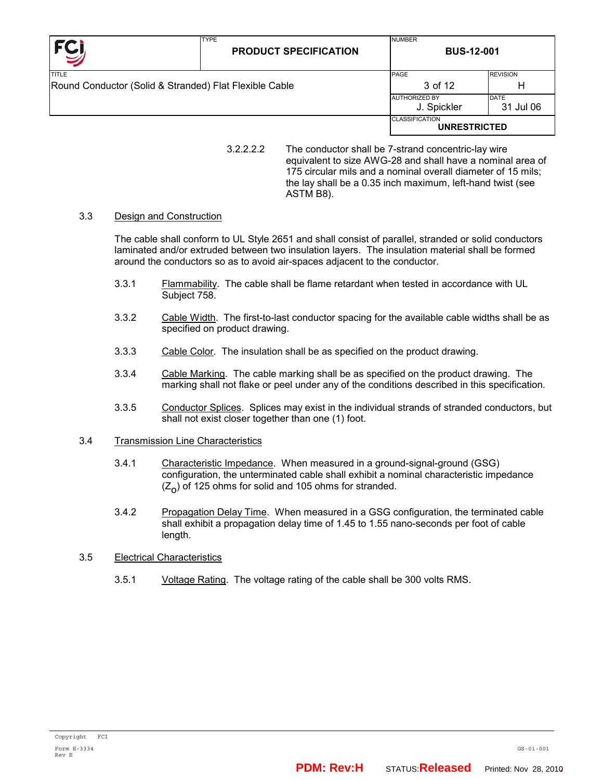| <b>FCI</b>                                             | <b>TYPE</b><br><b>PRODUCT SPECIFICATION</b> | <b>NUMBER</b><br><b>BUS-12-001</b>           |                 |  |
|--------------------------------------------------------|---------------------------------------------|----------------------------------------------|-----------------|--|
| TITLE                                                  |                                             | PAGE                                         | <b>REVISION</b> |  |
| Round Conductor (Solid & Stranded) Flat Flexible Cable |                                             | 3 of 12                                      | н               |  |
|                                                        |                                             | <b>AUTHORIZED BY</b>                         | <b>DATE</b>     |  |
|                                                        |                                             | J. Spickler                                  | 31 Jul 06       |  |
|                                                        |                                             | <b>CLASSIFICATION</b><br><b>UNRESTRICTED</b> |                 |  |

#### 3.3 Design and Construction

The cable shall conform to UL Style 2651 and shall consist of parallel, stranded or solid conductors laminated and/or extruded between two insulation layers. The insulation material shall be formed around the conductors so as to avoid air-spaces adjacent to the conductor.

- 3.3.1 Flammability. The cable shall be flame retardant when tested in accordance with UL Subject 758.
- 3.3.2 Cable Width. The first-to-last conductor spacing for the available cable widths shall be as specified on product drawing.
- 3.3.3 Cable Color. The insulation shall be as specified on the product drawing.
- 3.3.4 Cable Marking. The cable marking shall be as specified on the product drawing. The marking shall not flake or peel under any of the conditions described in this specification.
- 3.3.5 Conductor Splices. Splices may exist in the individual strands of stranded conductors, but shall not exist closer together than one (1) foot.

#### 3.4 Transmission Line Characteristics

- 3.4.1 Characteristic Impedance. When measured in a ground-signal-ground (GSG) configuration, the unterminated cable shall exhibit a nominal characteristic impedance  $(Z_{\Omega})$  of 125 ohms for solid and 105 ohms for stranded.
- 3.4.2 Propagation Delay Time. When measured in a GSG configuration, the terminated cable shall exhibit a propagation delay time of 1.45 to 1.55 nano-seconds per foot of cable length.

## 3.5 Electrical Characteristics

3.5.1 Voltage Rating. The voltage rating of the cable shall be 300 volts RMS.

<sup>3.2.2.2.2</sup> The conductor shall be 7-strand concentric-lay wire equivalent to size AWG-28 and shall have a nominal area of 175 circular mils and a nominal overall diameter of 15 mils; the lay shall be a 0.35 inch maximum, left-hand twist (see ASTM B8).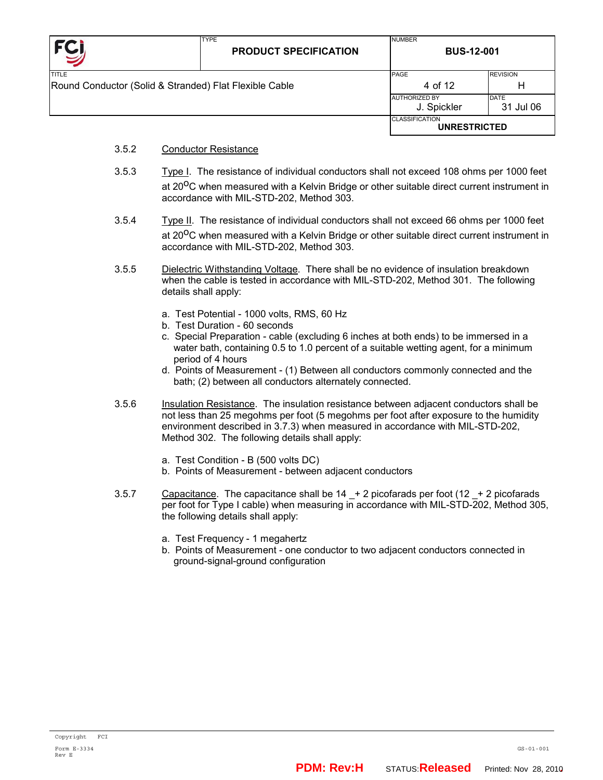

- 3.5.2 Conductor Resistance
- 3.5.3 Type I. The resistance of individual conductors shall not exceed 108 ohms per 1000 feet at 20<sup>o</sup>C when measured with a Kelvin Bridge or other suitable direct current instrument in accordance with MIL-STD-202, Method 303.
- 3.5.4 Type II. The resistance of individual conductors shall not exceed 66 ohms per 1000 feet at  $20^{\circ}$ C when measured with a Kelvin Bridge or other suitable direct current instrument in accordance with MIL-STD-202, Method 303.
- 3.5.5 Dielectric Withstanding Voltage. There shall be no evidence of insulation breakdown when the cable is tested in accordance with MIL-STD-202, Method 301. The following details shall apply:
	- a. Test Potential 1000 volts, RMS, 60 Hz
	- b. Test Duration 60 seconds
	- c. Special Preparation cable (excluding 6 inches at both ends) to be immersed in a water bath, containing 0.5 to 1.0 percent of a suitable wetting agent, for a minimum period of 4 hours
	- d. Points of Measurement (1) Between all conductors commonly connected and the bath; (2) between all conductors alternately connected.
- 3.5.6 Insulation Resistance. The insulation resistance between adjacent conductors shall be not less than 25 megohms per foot (5 megohms per foot after exposure to the humidity environment described in 3.7.3) when measured in accordance with MIL-STD-202, Method 302. The following details shall apply:
	- a. Test Condition B (500 volts DC)
	- b. Points of Measurement between adjacent conductors
- 3.5.7 Capacitance. The capacitance shall be  $14 + 2$  picofarads per foot (12  $+ 2$  picofarads per foot for Type I cable) when measuring in accordance with MIL-STD-202, Method 305, the following details shall apply:
	- a. Test Frequency 1 megahertz
	- b. Points of Measurement one conductor to two adjacent conductors connected in ground-signal-ground configuration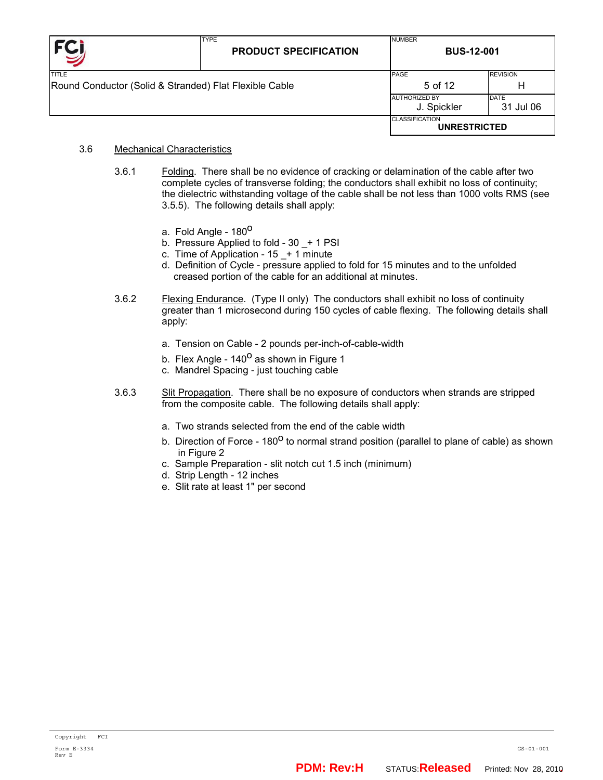| <b>FC</b>                                              | <b>TYPE</b><br><b>PRODUCT SPECIFICATION</b> | <b>NUMBER</b><br><b>BUS-12-001</b>           |                          |  |
|--------------------------------------------------------|---------------------------------------------|----------------------------------------------|--------------------------|--|
| TITLE                                                  |                                             | PAGE                                         | <b>REVISION</b>          |  |
| Round Conductor (Solid & Stranded) Flat Flexible Cable |                                             | 5 of 12                                      | Н                        |  |
|                                                        |                                             | <b>AUTHORIZED BY</b><br>J. Spickler          | <b>DATE</b><br>31 Jul 06 |  |
|                                                        |                                             | <b>CLASSIFICATION</b><br><b>UNRESTRICTED</b> |                          |  |

#### 3.6 Mechanical Characteristics

- 3.6.1 Folding. There shall be no evidence of cracking or delamination of the cable after two complete cycles of transverse folding; the conductors shall exhibit no loss of continuity; the dielectric withstanding voltage of the cable shall be not less than 1000 volts RMS (see 3.5.5). The following details shall apply:
	- a. Fold Angle 180<sup>0</sup>
	- b. Pressure Applied to fold 30  $+$  1 PSI
	- c. Time of Application  $15 1$  minute
	- d. Definition of Cycle pressure applied to fold for 15 minutes and to the unfolded creased portion of the cable for an additional at minutes.
- 3.6.2 Flexing Endurance. (Type II only) The conductors shall exhibit no loss of continuity greater than 1 microsecond during 150 cycles of cable flexing. The following details shall apply:
	- a. Tension on Cable 2 pounds per-inch-of-cable-width
	- b. Flex Angle  $140^{\circ}$  as shown in Figure 1
	- c. Mandrel Spacing just touching cable
- 3.6.3 Slit Propagation. There shall be no exposure of conductors when strands are stripped from the composite cable. The following details shall apply:
	- a. Two strands selected from the end of the cable width
	- b. Direction of Force  $180^{\circ}$  to normal strand position (parallel to plane of cable) as shown in Figure 2
	- c. Sample Preparation slit notch cut 1.5 inch (minimum)
	- d. Strip Length 12 inches
	- e. Slit rate at least 1" per second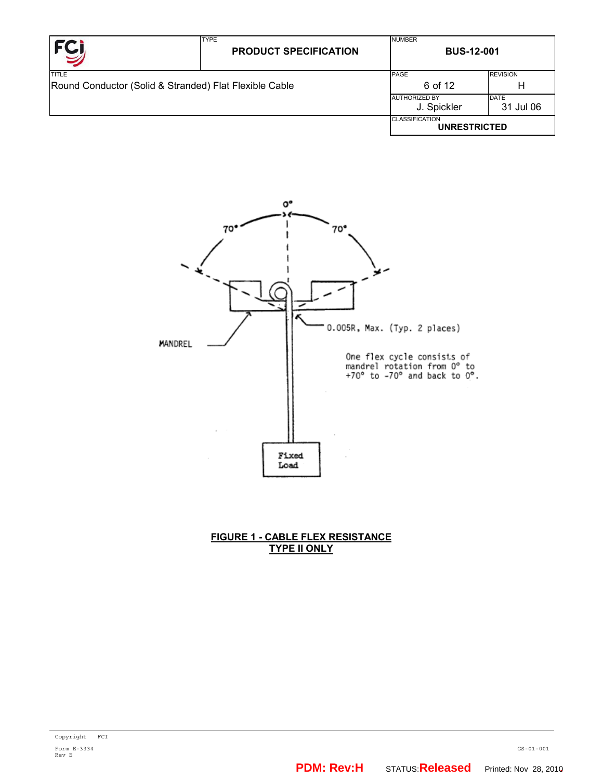| <b>FCI</b>                                             | <b>TYPE</b><br><b>PRODUCT SPECIFICATION</b> | <b>NUMBER</b><br><b>BUS-12-001</b>                              |                 |  |
|--------------------------------------------------------|---------------------------------------------|-----------------------------------------------------------------|-----------------|--|
| TITLE                                                  |                                             | <b>PAGE</b>                                                     | <b>REVISION</b> |  |
| Round Conductor (Solid & Stranded) Flat Flexible Cable |                                             | 6 of 12                                                         | Н               |  |
|                                                        |                                             | <b>DATE</b><br><b>AUTHORIZED BY</b><br>J. Spickler<br>31 Jul 06 |                 |  |
|                                                        |                                             | <b>CLASSIFICATION</b><br><b>UNRESTRICTED</b>                    |                 |  |



## **FIGURE 1 - CABLE FLEX RESISTANCE TYPE II ONLY**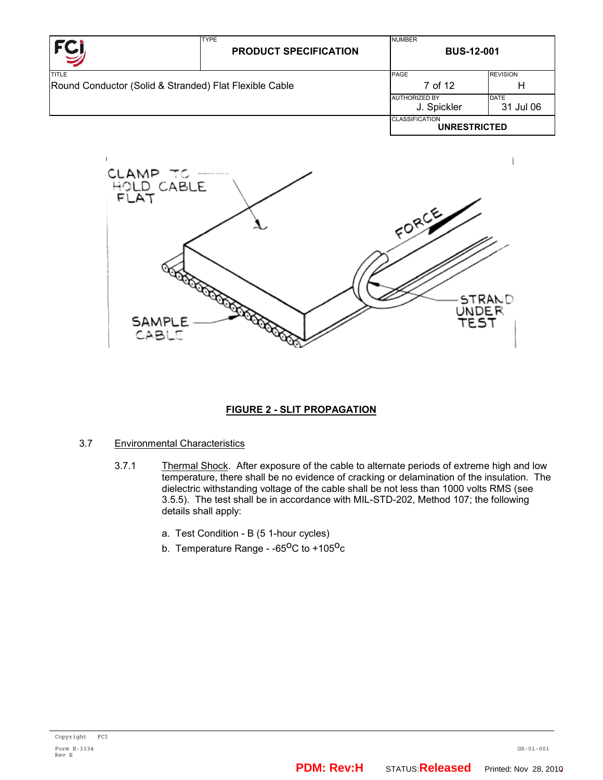| <b>FCI</b>                                             | <b>TYPE</b><br><b>PRODUCT SPECIFICATION</b> | <b>NUMBER</b><br><b>BUS-12-001</b>           |                 |  |
|--------------------------------------------------------|---------------------------------------------|----------------------------------------------|-----------------|--|
| <b>TITLE</b>                                           |                                             | PAGE                                         | <b>REVISION</b> |  |
| Round Conductor (Solid & Stranded) Flat Flexible Cable |                                             | 7 of 12                                      | н               |  |
|                                                        |                                             | <b>AUTHORIZED BY</b>                         | <b>DATE</b>     |  |
|                                                        |                                             | J. Spickler                                  | 31 Jul 06       |  |
|                                                        |                                             | <b>CLASSIFICATION</b><br><b>UNRESTRICTED</b> |                 |  |



# **FIGURE 2 - SLIT PROPAGATION**

## 3.7 Environmental Characteristics

- 3.7.1 Thermal Shock. After exposure of the cable to alternate periods of extreme high and low temperature, there shall be no evidence of cracking or delamination of the insulation. The dielectric withstanding voltage of the cable shall be not less than 1000 volts RMS (see 3.5.5). The test shall be in accordance with MIL-STD-202, Method 107; the following details shall apply:
	- a. Test Condition B (5 1-hour cycles)
	- b. Temperature Range  $-65^{\circ}$ C to  $+105^{\circ}$ c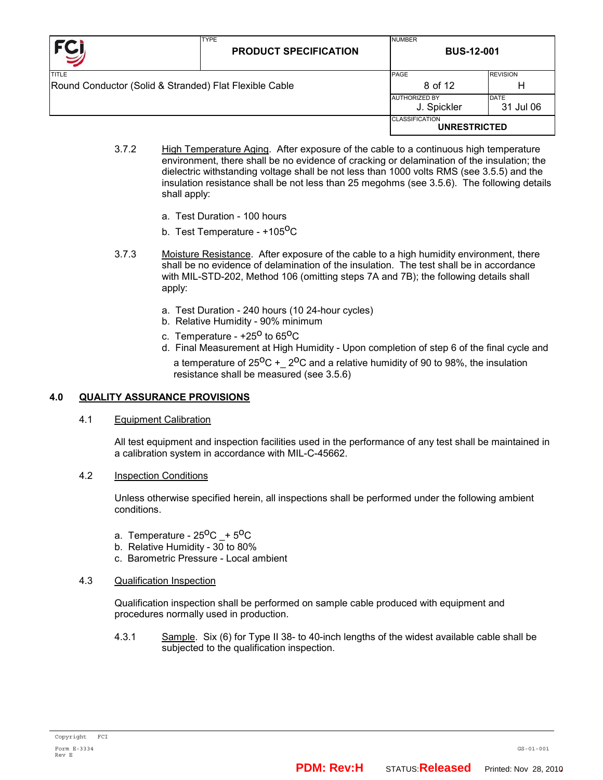| <b>TYPE</b><br><b>PRODUCT SPECIFICATION</b>                            | <b>NUMBER</b><br><b>BUS-12-001</b> |                                                                                      |  |
|------------------------------------------------------------------------|------------------------------------|--------------------------------------------------------------------------------------|--|
| <b>TITLE</b><br>Round Conductor (Solid & Stranded) Flat Flexible Cable |                                    | <b>REVISION</b>                                                                      |  |
|                                                                        |                                    | н                                                                                    |  |
|                                                                        |                                    | <b>DATE</b><br>31 Jul 06                                                             |  |
|                                                                        | <b>CLASSIFICATION</b>              |                                                                                      |  |
|                                                                        |                                    | <b>PAGE</b><br>8 of 12<br><b>AUTHORIZED BY</b><br>J. Spickler<br><b>UNRESTRICTED</b> |  |

- 3.7.2 High Temperature Aging. After exposure of the cable to a continuous high temperature environment, there shall be no evidence of cracking or delamination of the insulation; the dielectric withstanding voltage shall be not less than 1000 volts RMS (see 3.5.5) and the insulation resistance shall be not less than 25 megohms (see 3.5.6). The following details shall apply:
	- a. Test Duration 100 hours
	- b. Test Temperature +105<sup>0</sup>C
- 3.7.3 Moisture Resistance. After exposure of the cable to a high humidity environment, there shall be no evidence of delamination of the insulation. The test shall be in accordance with MIL-STD-202, Method 106 (omitting steps 7A and 7B); the following details shall apply:
	- a. Test Duration 240 hours (10 24-hour cycles)
	- b. Relative Humidity 90% minimum
	- c. Temperature  $+25^{\circ}$  to 65<sup>o</sup>C
	- d. Final Measurement at High Humidity Upon completion of step 6 of the final cycle and a temperature of  $25^{\circ}C + 2^{\circ}C$  and a relative humidity of 90 to 98%, the insulation resistance shall be measured (see 3.5.6)

#### **4.0 QUALITY ASSURANCE PROVISIONS**

4.1 Equipment Calibration

All test equipment and inspection facilities used in the performance of any test shall be maintained in a calibration system in accordance with MIL-C-45662.

4.2 Inspection Conditions

Unless otherwise specified herein, all inspections shall be performed under the following ambient conditions.

- a. Temperature  $25^{\circ}$ C +  $5^{\circ}$ C
- b. Relative Humidity  $30$  to  $80\%$
- c. Barometric Pressure Local ambient
- 4.3 Qualification Inspection

Qualification inspection shall be performed on sample cable produced with equipment and procedures normally used in production.

4.3.1 Sample. Six (6) for Type II 38- to 40-inch lengths of the widest available cable shall be subjected to the qualification inspection.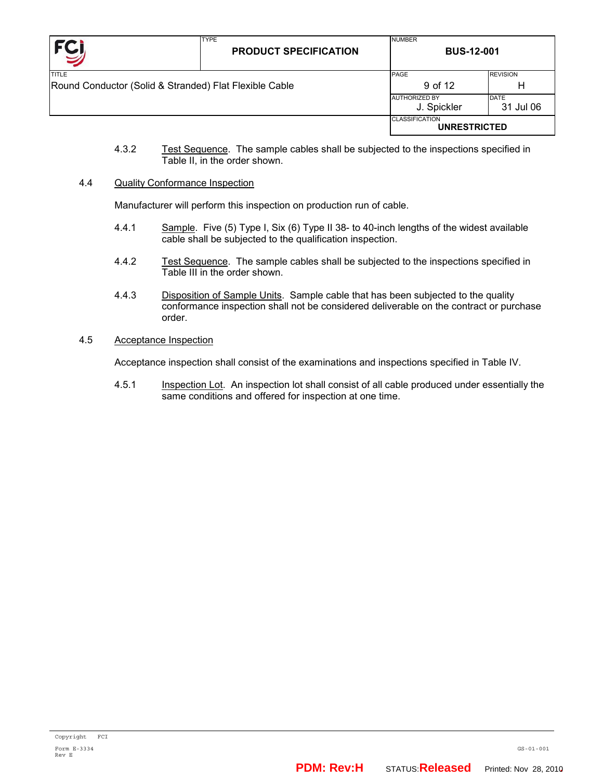| <b>FC</b>                                              | <b>TYPE</b><br><b>PRODUCT SPECIFICATION</b> | <b>NUMBER</b><br><b>BUS-12-001</b>           |                 |  |
|--------------------------------------------------------|---------------------------------------------|----------------------------------------------|-----------------|--|
| <b>TITLE</b>                                           |                                             | PAGE                                         | <b>REVISION</b> |  |
| Round Conductor (Solid & Stranded) Flat Flexible Cable |                                             | 9 of 12                                      | н               |  |
|                                                        |                                             | <b>AUTHORIZED BY</b>                         | <b>DATE</b>     |  |
|                                                        |                                             | J. Spickler                                  | 31 Jul 06       |  |
|                                                        |                                             | <b>CLASSIFICATION</b><br><b>UNRESTRICTED</b> |                 |  |

4.3.2 Test Sequence. The sample cables shall be subjected to the inspections specified in Table II, in the order shown.

#### 4.4 Quality Conformance Inspection

Manufacturer will perform this inspection on production run of cable.

- 4.4.1 Sample. Five (5) Type I, Six (6) Type II 38- to 40-inch lengths of the widest available cable shall be subjected to the qualification inspection.
- 4.4.2 Test Sequence. The sample cables shall be subjected to the inspections specified in Table III in the order shown.
- 4.4.3 Disposition of Sample Units. Sample cable that has been subjected to the quality conformance inspection shall not be considered deliverable on the contract or purchase order.
- 4.5 Acceptance Inspection

Acceptance inspection shall consist of the examinations and inspections specified in Table IV.

4.5.1 **Inspection Lot.** An inspection lot shall consist of all cable produced under essentially the same conditions and offered for inspection at one time.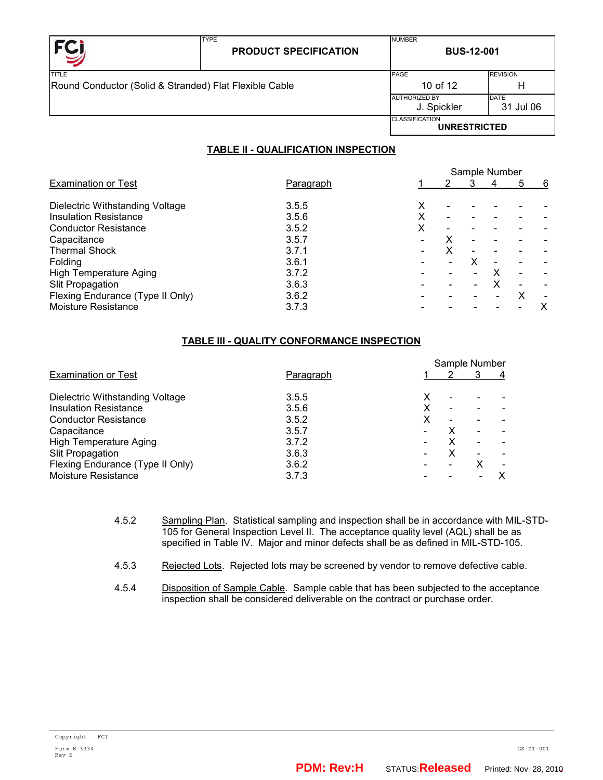

|                                                        |  | <b>CLASSIFICATION</b><br><b>UNRESTRICTED</b> |                          |
|--------------------------------------------------------|--|----------------------------------------------|--------------------------|
|                                                        |  | <b>AUTHORIZED BY</b><br>J. Spickler          | <b>DATE</b><br>31 Jul 06 |
| Round Conductor (Solid & Stranded) Flat Flexible Cable |  | 10 of 12                                     | н                        |
| TITLE                                                  |  | PAGE                                         | <b>REVISION</b>          |
|                                                        |  |                                              |                          |

NUMBER

# **TABLE II - QUALIFICATION INSPECTION**

|                                  |                  |   |                              | Sample Number |                          |   |
|----------------------------------|------------------|---|------------------------------|---------------|--------------------------|---|
| <b>Examination or Test</b>       | <u>Paragraph</u> |   |                              | 4             | 5                        | 6 |
| Dielectric Withstanding Voltage  | 3.5.5            | x |                              |               |                          |   |
| <b>Insulation Resistance</b>     | 3.5.6            | Χ | $\overline{\phantom{0}}$     |               |                          |   |
| <b>Conductor Resistance</b>      | 3.5.2            | х | $\qquad \qquad \blacksquare$ |               |                          |   |
| Capacitance                      | 3.5.7            |   |                              |               |                          |   |
| <b>Thermal Shock</b>             | 3.7.1            |   |                              |               |                          |   |
| Folding                          | 3.6.1            |   |                              |               | $\overline{\phantom{0}}$ |   |
| High Temperature Aging           | 3.7.2            |   |                              |               | $\overline{\phantom{0}}$ |   |
| <b>Slit Propagation</b>          | 3.6.3            |   |                              |               |                          |   |
| Flexing Endurance (Type II Only) | 3.6.2            |   |                              |               | Х                        |   |
| Moisture Resistance              | 3.7.3            |   |                              |               |                          | х |
|                                  |                  |   |                              |               |                          |   |

## **TABLE III - QUALITY CONFORMANCE INSPECTION**

|                                  |           | Sample Number |                          |   |   |
|----------------------------------|-----------|---------------|--------------------------|---|---|
| <b>Examination or Test</b>       | Paragraph |               |                          |   | 4 |
| Dielectric Withstanding Voltage  | 3.5.5     | х             |                          |   |   |
| <b>Insulation Resistance</b>     | 3.5.6     | x             | $\overline{\phantom{0}}$ |   |   |
| <b>Conductor Resistance</b>      | 3.5.2     | x             |                          |   |   |
| Capacitance                      | 3.5.7     |               |                          |   |   |
| <b>High Temperature Aging</b>    | 3.7.2     |               |                          |   |   |
| Slit Propagation                 | 3.6.3     |               | x                        |   |   |
| Flexing Endurance (Type II Only) | 3.6.2     |               |                          | х |   |
| Moisture Resistance              | 3.7.3     |               |                          |   |   |

- 4.5.2 Sampling Plan. Statistical sampling and inspection shall be in accordance with MIL-STD-105 for General Inspection Level II. The acceptance quality level (AQL) shall be as specified in Table IV. Major and minor defects shall be as defined in MIL-STD-105.
- 4.5.3 Rejected Lots. Rejected lots may be screened by vendor to remove defective cable.
- 4.5.4 Disposition of Sample Cable. Sample cable that has been subjected to the acceptance inspection shall be considered deliverable on the contract or purchase order.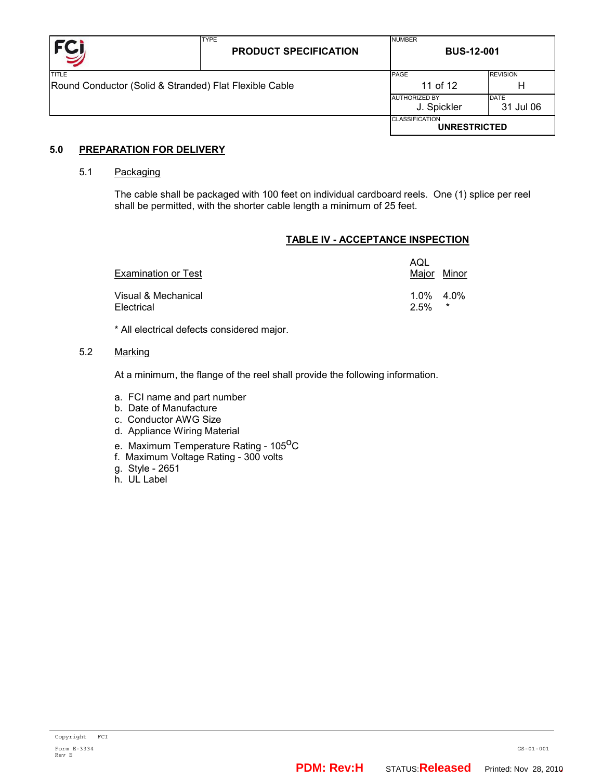

## **5.0 PREPARATION FOR DELIVERY**

#### 5.1 Packaging

The cable shall be packaged with 100 feet on individual cardboard reels. One (1) splice per reel shall be permitted, with the shorter cable length a minimum of 25 feet.

#### **TABLE IV - ACCEPTANCE INSPECTION**

| Examination or Test               | AQL                     | Major Minor |
|-----------------------------------|-------------------------|-------------|
| Visual & Mechanical<br>Electrical | $1.0\%$ $4.0\%$<br>2.5% | $\star$     |

\* All electrical defects considered major.

#### 5.2 Marking

At a minimum, the flange of the reel shall provide the following information.

- a. FCI name and part number
- b. Date of Manufacture
- c. Conductor AWG Size
- d. Appliance Wiring Material
- e. Maximum Temperature Rating 105<sup>0</sup>C
- f. Maximum Voltage Rating 300 volts
- g. Style 2651
- h. UL Label